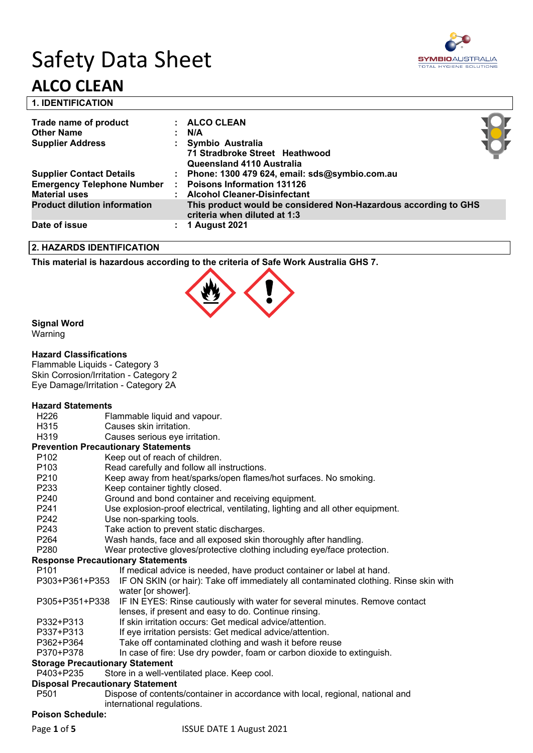# Safety Data Sheet **ALCO CLEAN**



| 1. IDENTIFICATION     |              |
|-----------------------|--------------|
| Trade name of product | : ALCO CLEAN |
| Other Name            | · N/A        |

| <b>Haus Hanne Of product</b>        |                | ALVY VLLAN                                                                                      |  |
|-------------------------------------|----------------|-------------------------------------------------------------------------------------------------|--|
| <b>Other Name</b>                   |                | N/A                                                                                             |  |
| <b>Supplier Address</b>             |                | Symbio Australia                                                                                |  |
|                                     |                | 71 Stradbroke Street Heathwood                                                                  |  |
|                                     |                | Queensland 4110 Australia                                                                       |  |
| <b>Supplier Contact Details</b>     | ÷.             | Phone: 1300 479 624, email: sds@symbio.com.au                                                   |  |
| <b>Emergency Telephone Number</b>   | $\mathbb{R}^n$ | <b>Poisons Information 131126</b>                                                               |  |
| <b>Material uses</b>                |                | <b>Alcohol Cleaner-Disinfectant</b>                                                             |  |
| <b>Product dilution information</b> |                | This product would be considered Non-Hazardous according to GHS<br>criteria when diluted at 1:3 |  |
| Date of issue                       |                | 1 August 2021                                                                                   |  |

# **2. HAZARDS IDENTIFICATION**

**This material is hazardous according to the criteria of Safe Work Australia GHS 7.**



# **Signal Word**

Warning

#### **Hazard Classifications**

Flammable Liquids - Category 3 Skin Corrosion/Irritation - Category 2 Eye Damage/Irritation - Category 2A

#### **Hazard Statements**

- H226 Flammable liquid and vapour.
- H315 Causes skin irritation.
- H319 Causes serious eye irritation.

#### **Prevention Precautionary Statements**

- P102 Keep out of reach of children.
- P103 Read carefully and follow all instructions.
- P210 Keep away from heat/sparks/open flames/hot surfaces. No smoking.
- P233 Keep container tightly closed.
- P240 Ground and bond container and receiving equipment.
- P241 Use explosion-proof electrical, ventilating, lighting and all other equipment.
- P242 Use non-sparking tools.
- P243 Take action to prevent static discharges.
- P264 Wash hands, face and all exposed skin thoroughly after handling.
- P280 Wear protective gloves/protective clothing including eye/face protection.

#### **Response Precautionary Statements**

P101 If medical advice is needed, have product container or label at hand. P303+P361+P353 IF ON SKIN (or hair): Take off immediately all contaminated clothing. Rinse skin with water [or shower]. P305+P351+P338 IF IN EYES: Rinse cautiously with water for several minutes. Remove contact lenses, if present and easy to do. Continue rinsing. P332+P313 If skin irritation occurs: Get medical advice/attention. P337+P313 If eye irritation persists: Get medical advice/attention. P362+P364 Take off contaminated clothing and wash it before reuse P370+P378 In case of fire: Use dry powder, foam or carbon dioxide to extinguish.

#### **Storage Precautionary Statement**

P403+P235 Store in a well-ventilated place. Keep cool.

#### **Disposal Precautionary Statement**

P501 Dispose of contents/container in accordance with local, regional, national and international regulations.

#### **Poison Schedule:**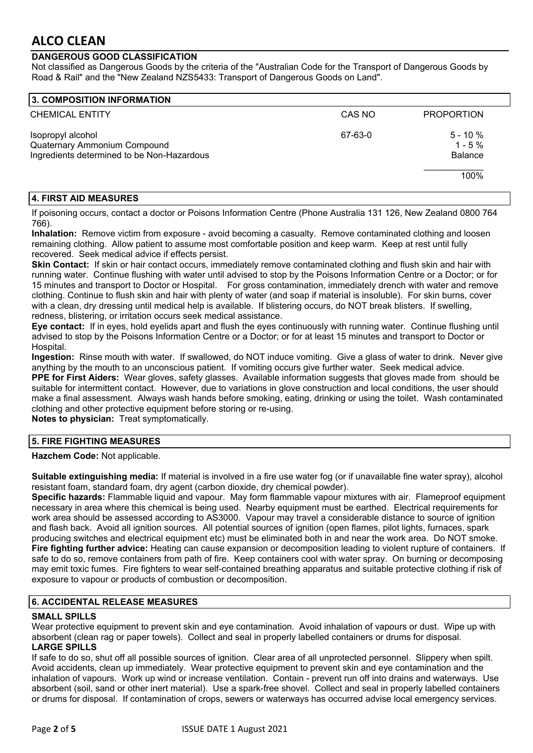# **DANGEROUS GOOD CLASSIFICATION**

Not classified as Dangerous Goods by the criteria of the "Australian Code for the Transport of Dangerous Goods by Road & Rail" and the "New Zealand NZS5433: Transport of Dangerous Goods on Land".

| 3. COMPOSITION INFORMATION                                                                      |         |                                             |
|-------------------------------------------------------------------------------------------------|---------|---------------------------------------------|
| <b>CHEMICAL ENTITY</b>                                                                          | CAS NO  | <b>PROPORTION</b>                           |
| Isopropyl alcohol<br>Quaternary Ammonium Compound<br>Ingredients determined to be Non-Hazardous | 67-63-0 | $5 - 10 \%$<br>$1 - 5 \%$<br><b>Balance</b> |
|                                                                                                 |         | 100%                                        |

# **4. FIRST AID MEASURES**

If poisoning occurs, contact a doctor or Poisons Information Centre (Phone Australia 131 126, New Zealand 0800 764 766).

**Inhalation:** Remove victim from exposure - avoid becoming a casualty. Remove contaminated clothing and loosen remaining clothing. Allow patient to assume most comfortable position and keep warm. Keep at rest until fully recovered. Seek medical advice if effects persist.

**Skin Contact:** If skin or hair contact occurs, immediately remove contaminated clothing and flush skin and hair with running water. Continue flushing with water until advised to stop by the Poisons Information Centre or a Doctor; or for 15 minutes and transport to Doctor or Hospital. For gross contamination, immediately drench with water and remove clothing. Continue to flush skin and hair with plenty of water (and soap if material is insoluble). For skin burns, cover with a clean, dry dressing until medical help is available. If blistering occurs, do NOT break blisters. If swelling, redness, blistering, or irritation occurs seek medical assistance.

**Eye contact:** If in eyes, hold eyelids apart and flush the eyes continuously with running water. Continue flushing until advised to stop by the Poisons Information Centre or a Doctor; or for at least 15 minutes and transport to Doctor or Hospital.

**Ingestion:** Rinse mouth with water. If swallowed, do NOT induce vomiting. Give a glass of water to drink. Never give anything by the mouth to an unconscious patient. If vomiting occurs give further water. Seek medical advice.

**PPE for First Aiders:** Wear gloves, safety glasses. Available information suggests that gloves made from should be suitable for intermittent contact. However, due to variations in glove construction and local conditions, the user should make a final assessment. Always wash hands before smoking, eating, drinking or using the toilet. Wash contaminated clothing and other protective equipment before storing or re-using.

**Notes to physician:** Treat symptomatically.

# **5. FIRE FIGHTING MEASURES**

**Hazchem Code:** Not applicable.

**Suitable extinguishing media:** If material is involved in a fire use water fog (or if unavailable fine water spray), alcohol resistant foam, standard foam, dry agent (carbon dioxide, dry chemical powder).

**Specific hazards:** Flammable liquid and vapour. May form flammable vapour mixtures with air. Flameproof equipment necessary in area where this chemical is being used. Nearby equipment must be earthed. Electrical requirements for work area should be assessed according to AS3000. Vapour may travel a considerable distance to source of ignition and flash back. Avoid all ignition sources. All potential sources of ignition (open flames, pilot lights, furnaces, spark producing switches and electrical equipment etc) must be eliminated both in and near the work area. Do NOT smoke. **Fire fighting further advice:** Heating can cause expansion or decomposition leading to violent rupture of containers. If safe to do so, remove containers from path of fire. Keep containers cool with water spray. On burning or decomposing may emit toxic fumes. Fire fighters to wear self-contained breathing apparatus and suitable protective clothing if risk of exposure to vapour or products of combustion or decomposition.

# **6. ACCIDENTAL RELEASE MEASURES**

# **SMALL SPILLS**

Wear protective equipment to prevent skin and eye contamination. Avoid inhalation of vapours or dust. Wipe up with absorbent (clean rag or paper towels). Collect and seal in properly labelled containers or drums for disposal. **LARGE SPILLS**

If safe to do so, shut off all possible sources of ignition. Clear area of all unprotected personnel. Slippery when spilt. Avoid accidents, clean up immediately. Wear protective equipment to prevent skin and eye contamination and the inhalation of vapours. Work up wind or increase ventilation. Contain - prevent run off into drains and waterways. Use absorbent (soil, sand or other inert material). Use a spark-free shovel. Collect and seal in properly labelled containers or drums for disposal. If contamination of crops, sewers or waterways has occurred advise local emergency services.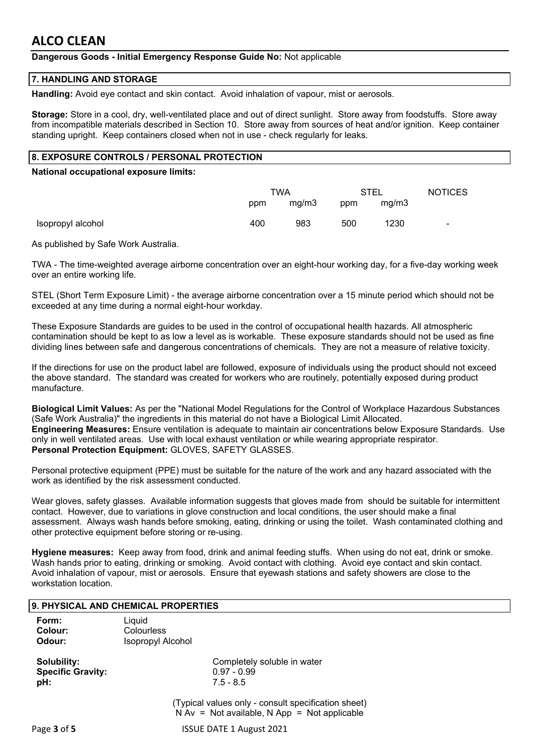# **Dangerous Goods - Initial Emergency Response Guide No:** Not applicable

#### **7. HANDLING AND STORAGE**

**Handling:** Avoid eye contact and skin contact. Avoid inhalation of vapour, mist or aerosols.

**Storage:** Store in a cool, dry, well-ventilated place and out of direct sunlight. Store away from foodstuffs. Store away from incompatible materials described in Section 10. Store away from sources of heat and/or ignition. Keep container standing upright. Keep containers closed when not in use - check regularly for leaks.

# **8. EXPOSURE CONTROLS / PERSONAL PROTECTION**

#### **National occupational exposure limits:**

|                   | TWA |       | STEL |       | <b>NOTICES</b> |
|-------------------|-----|-------|------|-------|----------------|
|                   | ppm | mg/m3 | ppm  | mg/m3 |                |
| Isopropyl alcohol | 400 | 983   | 500  | 1230  | $\blacksquare$ |

As published by Safe Work Australia.

TWA - The time-weighted average airborne concentration over an eight-hour working day, for a five-day working week over an entire working life.

STEL (Short Term Exposure Limit) - the average airborne concentration over a 15 minute period which should not be exceeded at any time during a normal eight-hour workday.

These Exposure Standards are guides to be used in the control of occupational health hazards. All atmospheric contamination should be kept to as low a level as is workable. These exposure standards should not be used as fine dividing lines between safe and dangerous concentrations of chemicals. They are not a measure of relative toxicity.

If the directions for use on the product label are followed, exposure of individuals using the product should not exceed the above standard. The standard was created for workers who are routinely, potentially exposed during product manufacture.

**Biological Limit Values:** As per the "National Model Regulations for the Control of Workplace Hazardous Substances (Safe Work Australia)" the ingredients in this material do not have a Biological Limit Allocated. **Engineering Measures:** Ensure ventilation is adequate to maintain air concentrations below Exposure Standards. Use only in well ventilated areas. Use with local exhaust ventilation or while wearing appropriate respirator. **Personal Protection Equipment:** GLOVES, SAFETY GLASSES.

Personal protective equipment (PPE) must be suitable for the nature of the work and any hazard associated with the work as identified by the risk assessment conducted.

Wear gloves, safety glasses. Available information suggests that gloves made from should be suitable for intermittent contact. However, due to variations in glove construction and local conditions, the user should make a final assessment. Always wash hands before smoking, eating, drinking or using the toilet. Wash contaminated clothing and other protective equipment before storing or re-using.

**Hygiene measures:** Keep away from food, drink and animal feeding stuffs. When using do not eat, drink or smoke. Wash hands prior to eating, drinking or smoking. Avoid contact with clothing. Avoid eye contact and skin contact. Avoid inhalation of vapour, mist or aerosols. Ensure that eyewash stations and safety showers are close to the workstation location.

#### **9. PHYSICAL AND CHEMICAL PROPERTIES**

| Form:   | Liguid                   |
|---------|--------------------------|
| Colour: | Colourless               |
| Odour:  | <b>Isopropyl Alcohol</b> |

**Specific Gravity:** 0.97 - 0.99 **pH:** 7.5 - 8.5

**Solubility:** Completely soluble in water

(Typical values only - consult specification sheet)  $N Av = Not available, N App = Not applicable$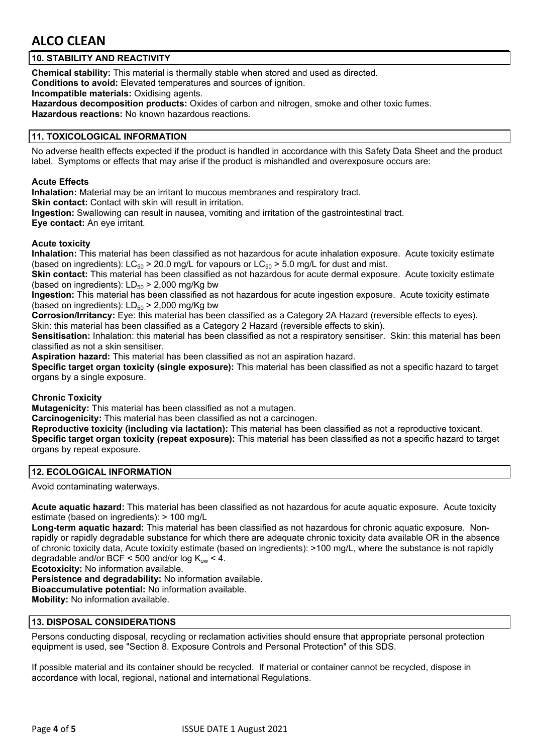# **10. STABILITY AND REACTIVITY**

**Chemical stability:** This material is thermally stable when stored and used as directed. **Conditions to avoid:** Elevated temperatures and sources of ignition.

**Incompatible materials:** Oxidising agents.

**Hazardous decomposition products:** Oxides of carbon and nitrogen, smoke and other toxic fumes. **Hazardous reactions:** No known hazardous reactions.

# **11. TOXICOLOGICAL INFORMATION**

No adverse health effects expected if the product is handled in accordance with this Safety Data Sheet and the product label. Symptoms or effects that may arise if the product is mishandled and overexposure occurs are:

### **Acute Effects**

**Inhalation:** Material may be an irritant to mucous membranes and respiratory tract.

**Skin contact:** Contact with skin will result in irritation.

**Ingestion:** Swallowing can result in nausea, vomiting and irritation of the gastrointestinal tract.

**Eye contact:** An eye irritant.

# **Acute toxicity**

**Inhalation:** This material has been classified as not hazardous for acute inhalation exposure. Acute toxicity estimate (based on ingredients):  $LC_{50}$  > 20.0 mg/L for vapours or  $LC_{50}$  > 5.0 mg/L for dust and mist.

**Skin contact:** This material has been classified as not hazardous for acute dermal exposure. Acute toxicity estimate (based on ingredients):  $LD_{50}$  > 2,000 mg/Kg bw

**Ingestion:** This material has been classified as not hazardous for acute ingestion exposure. Acute toxicity estimate (based on ingredients):  $LD_{50}$  > 2,000 mg/Kg bw

**Corrosion/Irritancy:** Eye: this material has been classified as a Category 2A Hazard (reversible effects to eyes). Skin: this material has been classified as a Category 2 Hazard (reversible effects to skin).

**Sensitisation:** Inhalation: this material has been classified as not a respiratory sensitiser. Skin: this material has been classified as not a skin sensitiser.

**Aspiration hazard:** This material has been classified as not an aspiration hazard.

**Specific target organ toxicity (single exposure):** This material has been classified as not a specific hazard to target organs by a single exposure.

# **Chronic Toxicity**

**Mutagenicity:** This material has been classified as not a mutagen.

**Carcinogenicity:** This material has been classified as not a carcinogen.

**Reproductive toxicity (including via lactation):** This material has been classified as not a reproductive toxicant.

**Specific target organ toxicity (repeat exposure):** This material has been classified as not a specific hazard to target organs by repeat exposure.

# **12. ECOLOGICAL INFORMATION**

Avoid contaminating waterways.

**Acute aquatic hazard:** This material has been classified as not hazardous for acute aquatic exposure. Acute toxicity estimate (based on ingredients): > 100 mg/L

**Long-term aquatic hazard:** This material has been classified as not hazardous for chronic aquatic exposure. Nonrapidly or rapidly degradable substance for which there are adequate chronic toxicity data available OR in the absence of chronic toxicity data, Acute toxicity estimate (based on ingredients): >100 mg/L, where the substance is not rapidly degradable and/or BCF < 500 and/or log  $K_{ow}$  < 4.

**Ecotoxicity:** No information available.

**Persistence and degradability:** No information available.

**Bioaccumulative potential:** No information available.

**Mobility:** No information available.

# **13. DISPOSAL CONSIDERATIONS**

Persons conducting disposal, recycling or reclamation activities should ensure that appropriate personal protection equipment is used, see "Section 8. Exposure Controls and Personal Protection" of this SDS.

If possible material and its container should be recycled. If material or container cannot be recycled, dispose in accordance with local, regional, national and international Regulations.